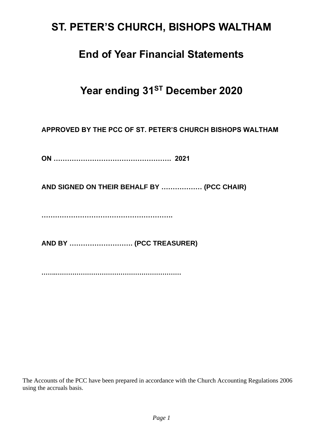# **ST. PETER'S CHURCH, BISHOPS WALTHAM**

## **End of Year Financial Statements**

# **Year ending 31ST December 2020**

**APPROVED BY THE PCC OF ST. PETER'S CHURCH BISHOPS WALTHAM**

**ON ……………………………………………. 2021** 

**AND SIGNED ON THEIR BEHALF BY ……………… (PCC CHAIR)**

**………………………………………………….**

**AND BY ………………………. (PCC TREASURER)**

**…….……………………………………………………**

The Accounts of the PCC have been prepared in accordance with the Church Accounting Regulations 2006 using the accruals basis.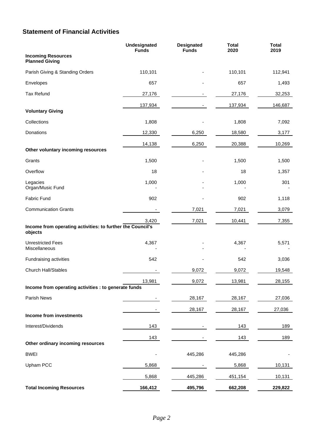## **Statement of Financial Activities**

|                                                                       | Undesignated<br><b>Funds</b> | <b>Designated</b><br><b>Funds</b> | <b>Total</b><br>2020 | <b>Total</b><br>2019 |
|-----------------------------------------------------------------------|------------------------------|-----------------------------------|----------------------|----------------------|
| <b>Incoming Resources</b><br><b>Planned Giving</b>                    |                              |                                   |                      |                      |
| Parish Giving & Standing Orders                                       | 110,101                      |                                   | 110,101              | 112,941              |
| Envelopes                                                             | 657                          |                                   | 657                  | 1,493                |
| <b>Tax Refund</b>                                                     | 27,176                       |                                   | 27,176               | 32,253               |
| <b>Voluntary Giving</b>                                               | 137,934                      |                                   | 137,934              | 146,687              |
| Collections                                                           | 1,808                        |                                   | 1,808                | 7,092                |
| Donations                                                             | 12,330                       | 6,250                             | 18,580               | 3,177                |
|                                                                       | 14,138                       | 6,250                             | 20,388               | 10,269               |
| Other voluntary incoming resources                                    |                              |                                   |                      |                      |
| Grants                                                                | 1,500                        |                                   | 1,500                | 1,500                |
| Overflow                                                              | 18                           |                                   | 18                   | 1,357                |
| Legacies<br>Organ/Music Fund                                          | 1,000                        |                                   | 1,000                | 301                  |
| Fabric Fund                                                           | 902                          |                                   | 902                  | 1,118                |
| <b>Communication Grants</b>                                           |                              | 7,021                             | 7,021                | 3,079                |
| Income from operating activities: to further the Council's<br>objects | 3,420                        | 7,021                             | 10,441               | 7,355                |
| <b>Unrestricted Fees</b><br>Miscellaneous                             | 4,367                        |                                   | 4,367                | 5,571                |
| Fundraising activities                                                | 542                          |                                   | 542                  | 3,036                |
| <b>Church Hall/Stables</b>                                            |                              | 9,072                             | 9,072                | 19,548               |
| Income from operating activities : to generate funds                  | 13,981                       | 9,072                             | 13,981               | 28,155               |
| Parish News                                                           |                              | 28,167                            | 28,167               | 27,036               |
|                                                                       |                              | 28,167                            | 28,167               | 27,036               |
| Income from investments                                               |                              |                                   |                      |                      |
| Interest/Dividends                                                    | 143                          |                                   | 143                  | 189                  |
| Other ordinary incoming resources                                     | 143                          |                                   | 143                  | 189                  |
| <b>BWEI</b>                                                           | -                            | 445,286                           | 445,286              |                      |
| Upham PCC                                                             | 5,868                        |                                   | 5,868                | 10,131               |
|                                                                       | 5,868                        | 445,286                           | 451,154              | 10,131               |
| <b>Total Incoming Resources</b>                                       | 166,412                      | 495,796                           | 662,208              | 229,822              |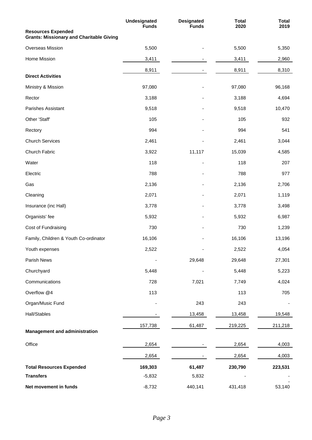|                                                                              | <b>Undesignated</b><br><b>Funds</b> | <b>Designated</b><br><b>Funds</b> | <b>Total</b><br>2020 | <b>Total</b><br>2019 |
|------------------------------------------------------------------------------|-------------------------------------|-----------------------------------|----------------------|----------------------|
| <b>Resources Expended</b><br><b>Grants: Missionary and Charitable Giving</b> |                                     |                                   |                      |                      |
| Overseas Mission                                                             | 5,500                               |                                   | 5,500                | 5,350                |
| Home Mission                                                                 | 3,411                               |                                   | 3,411                | 2,960                |
|                                                                              | 8,911                               |                                   | 8,911                | 8,310                |
| <b>Direct Activities</b>                                                     |                                     |                                   |                      |                      |
| Ministry & Mission                                                           | 97,080                              |                                   | 97,080               | 96,168               |
| Rector                                                                       | 3,188                               |                                   | 3,188                | 4,694                |
| Parishes Assistant                                                           | 9,518                               |                                   | 9,518                | 10,470               |
| Other 'Staff'                                                                | 105                                 |                                   | 105                  | 932                  |
| Rectory                                                                      | 994                                 |                                   | 994                  | 541                  |
| <b>Church Services</b>                                                       | 2,461                               |                                   | 2,461                | 3,044                |
| Church Fabric                                                                | 3,922                               | 11,117                            | 15,039               | 4,585                |
| Water                                                                        | 118                                 |                                   | 118                  | 207                  |
| Electric                                                                     | 788                                 |                                   | 788                  | 977                  |
| Gas                                                                          | 2,136                               |                                   | 2,136                | 2,706                |
| Cleaning                                                                     | 2,071                               |                                   | 2,071                | 1,119                |
| Insurance (inc Hall)                                                         | 3,778                               |                                   | 3,778                | 3,498                |
| Organists' fee                                                               | 5,932                               |                                   | 5,932                | 6,987                |
| Cost of Fundraising                                                          | 730                                 |                                   | 730                  | 1,239                |
| Family, Children & Youth Co-ordinator                                        | 16,106                              |                                   | 16,106               | 13,196               |
| Youth expenses                                                               | 2,522                               |                                   | 2,522                | 4,054                |
| Parish News                                                                  |                                     | 29,648                            | 29,648               | 27,301               |
| Churchyard                                                                   | 5,448                               |                                   | 5,448                | 5,223                |
| Communications                                                               | 728                                 | 7,021                             | 7,749                | 4,024                |
| Overflow @4                                                                  | 113                                 |                                   | 113                  | 705                  |
| Organ/Music Fund                                                             |                                     | 243                               | 243                  |                      |
| Hall/Stables                                                                 |                                     | 13,458                            | 13,458               | 19,548               |
|                                                                              | 157,738                             | 61,487                            | 219,225              | 211,218              |
| <b>Management and administration</b>                                         |                                     |                                   |                      |                      |
| Office                                                                       | 2,654                               |                                   | 2,654                | 4,003                |
|                                                                              | 2,654                               |                                   | 2,654                | 4,003                |
| <b>Total Resources Expended</b>                                              | 169,303                             | 61,487                            | 230,790              | 223,531              |
| <b>Transfers</b>                                                             | $-5,832$                            | 5,832                             |                      |                      |
| Net movement in funds                                                        | $-8,732$                            | 440,141                           | 431,418              | 53,140               |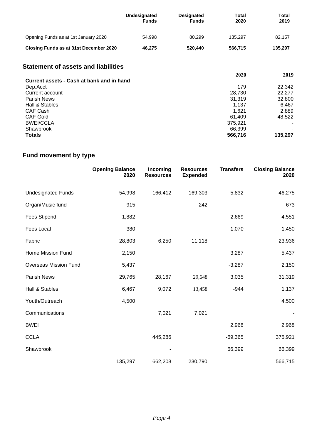|                                        | Undesignated<br><b>Funds</b> | <b>Designated</b><br><b>Funds</b> | Total<br>2020 | Total<br>2019 |
|----------------------------------------|------------------------------|-----------------------------------|---------------|---------------|
| Opening Funds as at 1st January 2020   | 54.998                       | 80.299                            | 135.297       | 82,157        |
| Closing Funds as at 31st December 2020 | 46.275                       | 520.440                           | 566.715       | 135,297       |

## **Statement of assets and liabilities**

|                                           | 2020    | 2019    |
|-------------------------------------------|---------|---------|
| Current assets - Cash at bank and in hand |         |         |
| Dep.Acct                                  | 179     | 22,342  |
| Current account                           | 28,730  | 22,277  |
| <b>Parish News</b>                        | 31,319  | 32,800  |
| Hall & Stables                            | 1.137   | 6,467   |
| CAF Cash                                  | 1.621   | 2,889   |
| <b>CAF Gold</b>                           | 61.409  | 48,522  |
| <b>BWEI/CCLA</b>                          | 375,921 | ۰.      |
| Shawbrook                                 | 66.399  |         |
| <b>Totals</b>                             | 566,716 | 135,297 |

## **Fund movement by type**

|                              | <b>Opening Balance</b><br>2020 | Incoming<br><b>Resources</b> | <b>Resources</b><br><b>Expended</b> | <b>Transfers</b> | <b>Closing Balance</b><br>2020 |
|------------------------------|--------------------------------|------------------------------|-------------------------------------|------------------|--------------------------------|
| <b>Undesignated Funds</b>    | 54,998                         | 166,412                      | 169,303                             | $-5,832$         | 46,275                         |
| Organ/Music fund             | 915                            |                              | 242                                 |                  | 673                            |
| <b>Fees Stipend</b>          | 1,882                          |                              |                                     | 2,669            | 4,551                          |
| Fees Local                   | 380                            |                              |                                     | 1,070            | 1,450                          |
| Fabric                       | 28,803                         | 6,250                        | 11,118                              |                  | 23,936                         |
| Home Mission Fund            | 2,150                          |                              |                                     | 3,287            | 5,437                          |
| <b>Overseas Mission Fund</b> | 5,437                          |                              |                                     | $-3,287$         | 2,150                          |
| Parish News                  | 29,765                         | 28,167                       | 29,648                              | 3,035            | 31,319                         |
| Hall & Stables               | 6,467                          | 9,072                        | 13,458                              | $-944$           | 1,137                          |
| Youth/Outreach               | 4,500                          |                              |                                     |                  | 4,500                          |
| Communications               |                                | 7,021                        | 7,021                               |                  |                                |
| <b>BWEI</b>                  |                                |                              |                                     | 2,968            | 2,968                          |
| <b>CCLA</b>                  |                                | 445,286                      |                                     | $-69,365$        | 375,921                        |
| Shawbrook                    |                                |                              |                                     | 66,399           | 66,399                         |
|                              | 135,297                        | 662,208                      | 230,790                             |                  | 566,715                        |